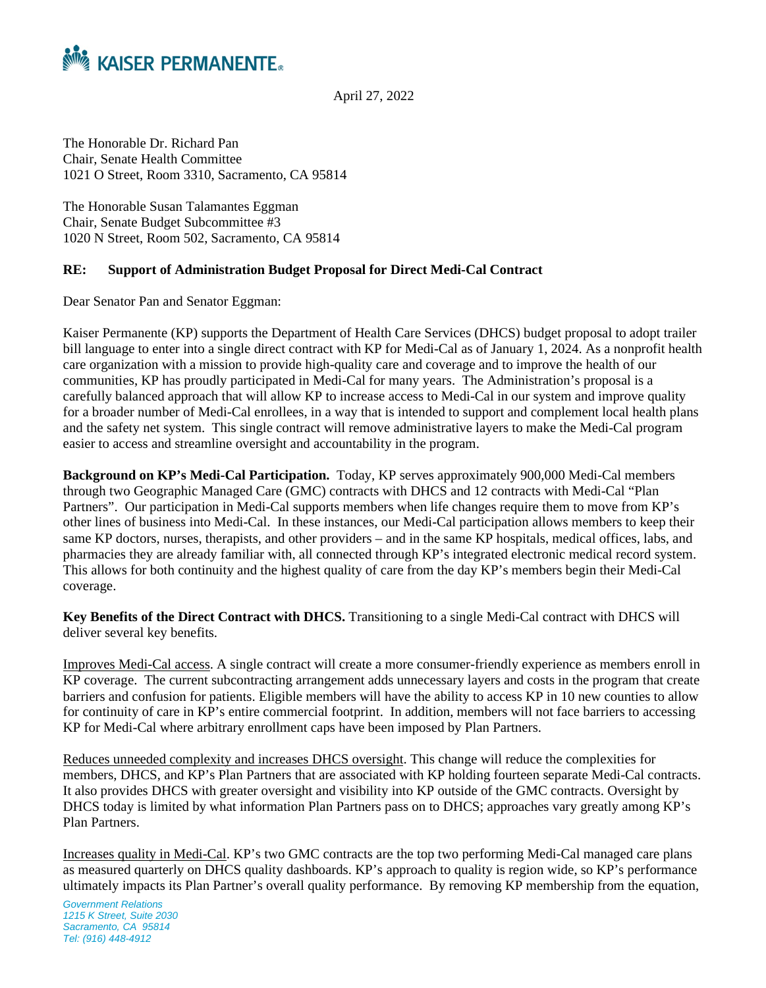

April 27, 2022

The Honorable Dr. Richard Pan Chair, Senate Health Committee 1021 O Street, Room 3310, Sacramento, CA 95814

The Honorable Susan Talamantes Eggman Chair, Senate Budget Subcommittee #3 1020 N Street, Room 502, Sacramento, CA 95814

## **RE: Support of Administration Budget Proposal for Direct Medi-Cal Contract**

Dear Senator Pan and Senator Eggman:

Kaiser Permanente (KP) supports the Department of Health Care Services (DHCS) budget proposal to adopt trailer bill language to enter into a single direct contract with KP for Medi-Cal as of January 1, 2024. As a nonprofit health care organization with a mission to provide high-quality care and coverage and to improve the health of our communities, KP has proudly participated in Medi-Cal for many years. The Administration's proposal is a carefully balanced approach that will allow KP to increase access to Medi-Cal in our system and improve quality for a broader number of Medi-Cal enrollees, in a way that is intended to support and complement local health plans and the safety net system. This single contract will remove administrative layers to make the Medi-Cal program easier to access and streamline oversight and accountability in the program.

**Background on KP's Medi-Cal Participation.** Today, KP serves approximately 900,000 Medi-Cal members through two Geographic Managed Care (GMC) contracts with DHCS and 12 contracts with Medi-Cal "Plan Partners". Our participation in Medi-Cal supports members when life changes require them to move from KP's other lines of business into Medi-Cal. In these instances, our Medi-Cal participation allows members to keep their same KP doctors, nurses, therapists, and other providers – and in the same KP hospitals, medical offices, labs, and pharmacies they are already familiar with, all connected through KP's integrated electronic medical record system. This allows for both continuity and the highest quality of care from the day KP's members begin their Medi-Cal coverage.

**Key Benefits of the Direct Contract with DHCS.** Transitioning to a single Medi-Cal contract with DHCS will deliver several key benefits.

Improves Medi-Cal access. A single contract will create a more consumer-friendly experience as members enroll in KP coverage. The current subcontracting arrangement adds unnecessary layers and costs in the program that create barriers and confusion for patients. Eligible members will have the ability to access KP in 10 new counties to allow for continuity of care in KP's entire commercial footprint. In addition, members will not face barriers to accessing KP for Medi-Cal where arbitrary enrollment caps have been imposed by Plan Partners.

Reduces unneeded complexity and increases DHCS oversight. This change will reduce the complexities for members, DHCS, and KP's Plan Partners that are associated with KP holding fourteen separate Medi-Cal contracts. It also provides DHCS with greater oversight and visibility into KP outside of the GMC contracts. Oversight by DHCS today is limited by what information Plan Partners pass on to DHCS; approaches vary greatly among KP's Plan Partners.

Increases quality in Medi-Cal. KP's two GMC contracts are the top two performing Medi-Cal managed care plans as measured quarterly on DHCS quality dashboards. KP's approach to quality is region wide, so KP's performance ultimately impacts its Plan Partner's overall quality performance. By removing KP membership from the equation,

*Government Relations 1215 K Street, Suite 2030 Sacramento, CA 95814 Tel: (916) 448-4912*